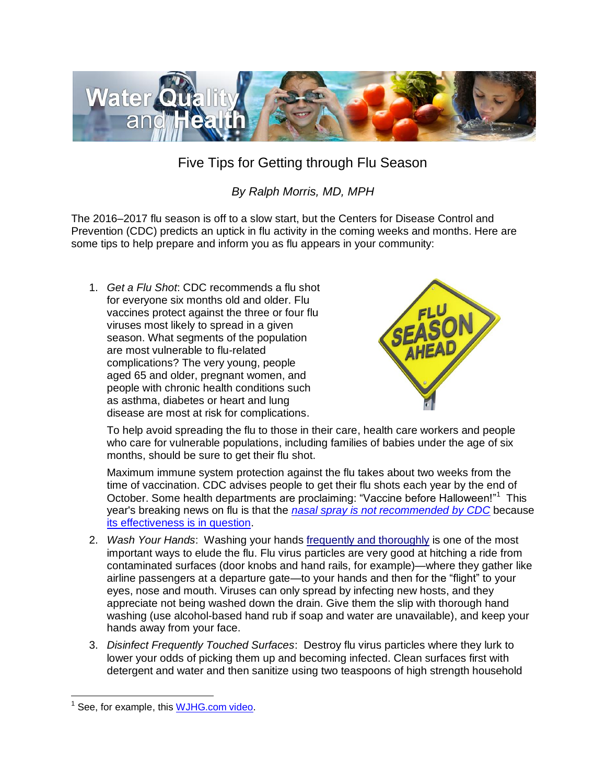

## Five Tips for Getting through Flu Season

## *By Ralph Morris, MD, MPH*

The 2016–2017 flu season is off to a slow start, but the Centers for Disease Control and Prevention (CDC) predicts an uptick in flu activity in the coming weeks and months. Here are some tips to help prepare and inform you as flu appears in your community:

1. *Get a Flu Shot*: CDC recommends a flu shot for everyone six months old and older. Flu vaccines protect against the three or four flu viruses most likely to spread in a given season. What segments of the population are most vulnerable to flu-related complications? The very young, people aged 65 and older, pregnant women, and people with chronic health conditions such as asthma, diabetes or heart and lung disease are most at risk for complications.



To help avoid spreading the flu to those in their care, health care workers and people who care for vulnerable populations, including families of babies under the age of six months, should be sure to get their flu shot.

Maximum immune system protection against the flu takes about two weeks from the time of vaccination. CDC advises people to get their flu shots each year by the end of October. Some health departments are proclaiming: "Vaccine before Halloween!"<sup>1</sup> This year's breaking news on flu is that the *[nasal spray is not recommended](http://www.cdc.gov/flu/about/season/flu-season-2016-2017.htm) by CDC* because [its effectiveness is in question.](http://www.cdc.gov/media/releases/2016/s0622-laiv-flu.html)

- 2. *Wash Your Hands*: Washing your hands frequently and thoroughly is one of the most important ways to elude the flu. Flu virus particles are very good at hitching a ride from contaminated surfaces (door knobs and hand rails, for example)—where they gather like airline passengers at a departure gate—to your hands and then for the "flight" to your eyes, nose and mouth. Viruses can only spread by infecting new hosts, and they appreciate not being washed down the drain. Give them the slip with thorough hand washing (use alcohol-based hand rub if soap and water are unavailable), and keep your hands away from your face.
- 3. *Disinfect Frequently Touched Surfaces*: Destroy flu virus particles where they lurk to lower your odds of picking them up and becoming infected. Clean surfaces first with detergent and water and then sanitize using two teaspoons of high strength household

 $\overline{a}$  $1$  See, for example, this [WJHG.com video.](http://www.wjhg.com/content/news/Vaccine-before-Halloween--397252081.html)